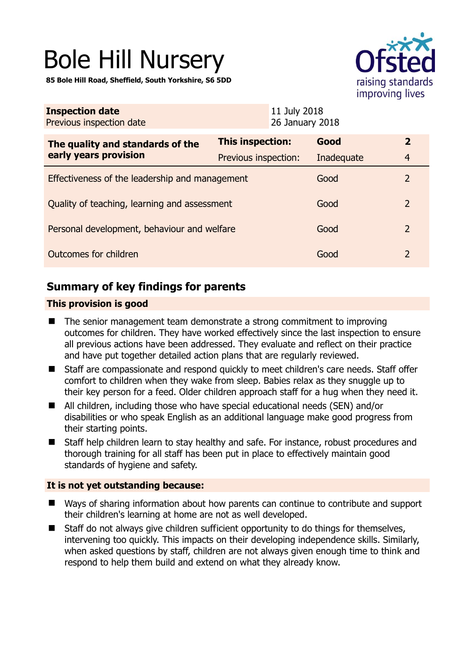# Bole Hill Nursery

**85 Bole Hill Road, Sheffield, South Yorkshire, S6 5DD** 



| This inspection:                               | Good       | $\overline{2}$                                                  |
|------------------------------------------------|------------|-----------------------------------------------------------------|
| Previous inspection:                           | Inadequate | $\overline{4}$                                                  |
| Effectiveness of the leadership and management |            | 2                                                               |
| Quality of teaching, learning and assessment   |            | 2                                                               |
| Personal development, behaviour and welfare    |            | $\mathcal{L}$                                                   |
| Outcomes for children                          |            | 2                                                               |
|                                                |            | 11 July 2018<br>26 January 2018<br>Good<br>Good<br>Good<br>Good |

# **Summary of key findings for parents**

#### **This provision is good**

- The senior management team demonstrate a strong commitment to improving outcomes for children. They have worked effectively since the last inspection to ensure all previous actions have been addressed. They evaluate and reflect on their practice and have put together detailed action plans that are regularly reviewed.
- Staff are compassionate and respond quickly to meet children's care needs. Staff offer comfort to children when they wake from sleep. Babies relax as they snuggle up to their key person for a feed. Older children approach staff for a hug when they need it.
- All children, including those who have special educational needs (SEN) and/or disabilities or who speak English as an additional language make good progress from their starting points.
- Staff help children learn to stay healthy and safe. For instance, robust procedures and thorough training for all staff has been put in place to effectively maintain good standards of hygiene and safety.

#### **It is not yet outstanding because:**

- Ways of sharing information about how parents can continue to contribute and support their children's learning at home are not as well developed.
- Staff do not always give children sufficient opportunity to do things for themselves, intervening too quickly. This impacts on their developing independence skills. Similarly, when asked questions by staff, children are not always given enough time to think and respond to help them build and extend on what they already know.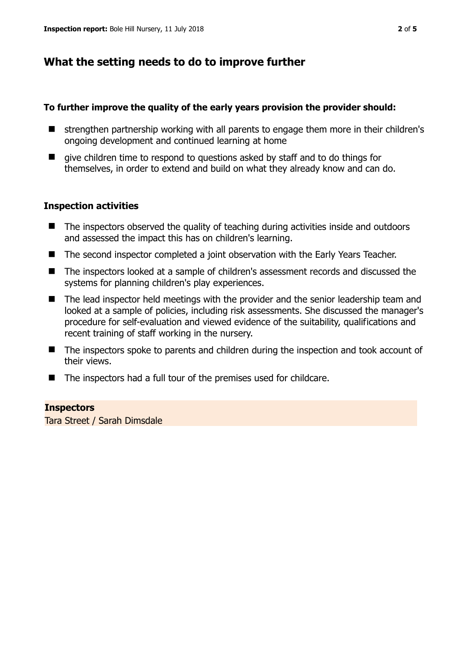# **What the setting needs to do to improve further**

#### **To further improve the quality of the early years provision the provider should:**

- strengthen partnership working with all parents to engage them more in their children's ongoing development and continued learning at home
- qive children time to respond to questions asked by staff and to do things for themselves, in order to extend and build on what they already know and can do.

#### **Inspection activities**

- The inspectors observed the quality of teaching during activities inside and outdoors and assessed the impact this has on children's learning.
- The second inspector completed a joint observation with the Early Years Teacher.
- The inspectors looked at a sample of children's assessment records and discussed the systems for planning children's play experiences.
- The lead inspector held meetings with the provider and the senior leadership team and looked at a sample of policies, including risk assessments. She discussed the manager's procedure for self-evaluation and viewed evidence of the suitability, qualifications and recent training of staff working in the nursery.
- The inspectors spoke to parents and children during the inspection and took account of their views.
- The inspectors had a full tour of the premises used for childcare.

#### **Inspectors**

Tara Street / Sarah Dimsdale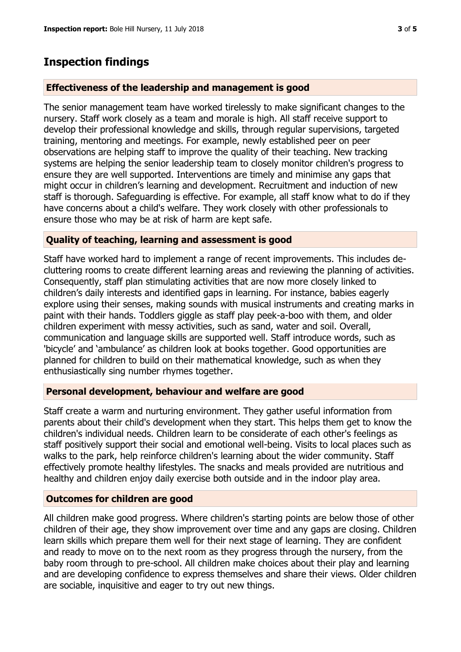### **Inspection findings**

#### **Effectiveness of the leadership and management is good**

The senior management team have worked tirelessly to make significant changes to the nursery. Staff work closely as a team and morale is high. All staff receive support to develop their professional knowledge and skills, through regular supervisions, targeted training, mentoring and meetings. For example, newly established peer on peer observations are helping staff to improve the quality of their teaching. New tracking systems are helping the senior leadership team to closely monitor children's progress to ensure they are well supported. Interventions are timely and minimise any gaps that might occur in children's learning and development. Recruitment and induction of new staff is thorough. Safeguarding is effective. For example, all staff know what to do if they have concerns about a child's welfare. They work closely with other professionals to ensure those who may be at risk of harm are kept safe.

#### **Quality of teaching, learning and assessment is good**

Staff have worked hard to implement a range of recent improvements. This includes decluttering rooms to create different learning areas and reviewing the planning of activities. Consequently, staff plan stimulating activities that are now more closely linked to children's daily interests and identified gaps in learning. For instance, babies eagerly explore using their senses, making sounds with musical instruments and creating marks in paint with their hands. Toddlers giggle as staff play peek-a-boo with them, and older children experiment with messy activities, such as sand, water and soil. Overall, communication and language skills are supported well. Staff introduce words, such as 'bicycle' and 'ambulance' as children look at books together. Good opportunities are planned for children to build on their mathematical knowledge, such as when they enthusiastically sing number rhymes together.

#### **Personal development, behaviour and welfare are good**

Staff create a warm and nurturing environment. They gather useful information from parents about their child's development when they start. This helps them get to know the children's individual needs. Children learn to be considerate of each other's feelings as staff positively support their social and emotional well-being. Visits to local places such as walks to the park, help reinforce children's learning about the wider community. Staff effectively promote healthy lifestyles. The snacks and meals provided are nutritious and healthy and children enjoy daily exercise both outside and in the indoor play area.

#### **Outcomes for children are good**

All children make good progress. Where children's starting points are below those of other children of their age, they show improvement over time and any gaps are closing. Children learn skills which prepare them well for their next stage of learning. They are confident and ready to move on to the next room as they progress through the nursery, from the baby room through to pre-school. All children make choices about their play and learning and are developing confidence to express themselves and share their views. Older children are sociable, inquisitive and eager to try out new things.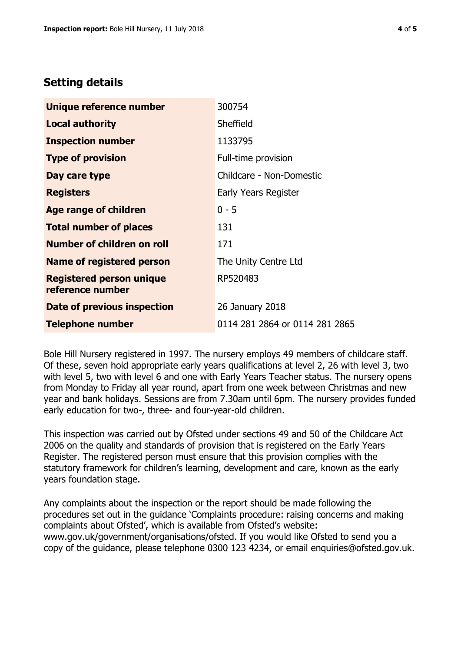## **Setting details**

| Unique reference number                             | 300754                         |
|-----------------------------------------------------|--------------------------------|
| <b>Local authority</b>                              | Sheffield                      |
| <b>Inspection number</b>                            | 1133795                        |
| <b>Type of provision</b>                            | Full-time provision            |
| Day care type                                       | Childcare - Non-Domestic       |
| <b>Registers</b>                                    | Early Years Register           |
| <b>Age range of children</b>                        | $0 - 5$                        |
| <b>Total number of places</b>                       | 131                            |
| <b>Number of children on roll</b>                   | 171                            |
| Name of registered person                           | The Unity Centre Ltd           |
| <b>Registered person unique</b><br>reference number | RP520483                       |
| Date of previous inspection                         | 26 January 2018                |
| <b>Telephone number</b>                             | 0114 281 2864 or 0114 281 2865 |

Bole Hill Nursery registered in 1997. The nursery employs 49 members of childcare staff. Of these, seven hold appropriate early years qualifications at level 2, 26 with level 3, two with level 5, two with level 6 and one with Early Years Teacher status. The nursery opens from Monday to Friday all year round, apart from one week between Christmas and new year and bank holidays. Sessions are from 7.30am until 6pm. The nursery provides funded early education for two-, three- and four-year-old children.

This inspection was carried out by Ofsted under sections 49 and 50 of the Childcare Act 2006 on the quality and standards of provision that is registered on the Early Years Register. The registered person must ensure that this provision complies with the statutory framework for children's learning, development and care, known as the early years foundation stage.

Any complaints about the inspection or the report should be made following the procedures set out in the guidance 'Complaints procedure: raising concerns and making complaints about Ofsted', which is available from Ofsted's website: www.gov.uk/government/organisations/ofsted. If you would like Ofsted to send you a copy of the guidance, please telephone 0300 123 4234, or email enquiries@ofsted.gov.uk.